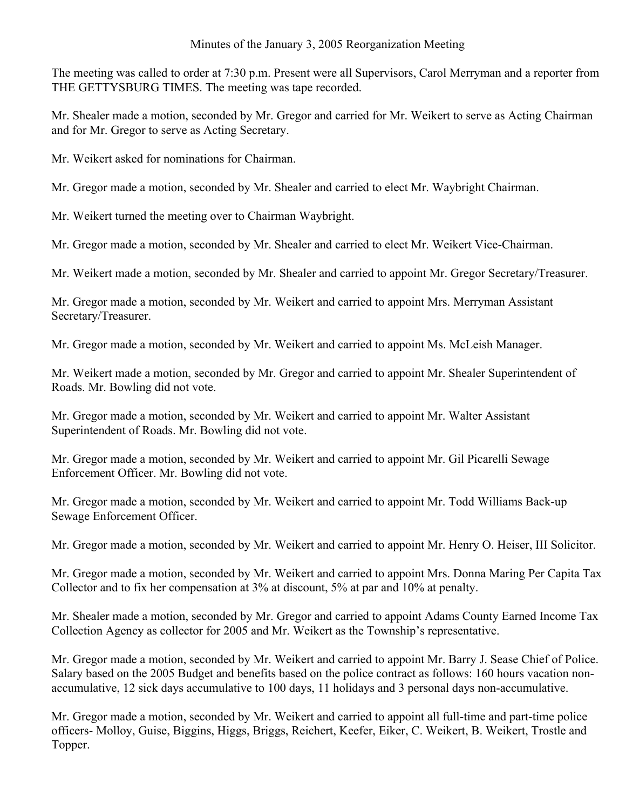# Minutes of the January 3, 2005 Reorganization Meeting

The meeting was called to order at 7:30 p.m. Present were all Supervisors, Carol Merryman and a reporter from THE GETTYSBURG TIMES. The meeting was tape recorded.

Mr. Shealer made a motion, seconded by Mr. Gregor and carried for Mr. Weikert to serve as Acting Chairman and for Mr. Gregor to serve as Acting Secretary.

Mr. Weikert asked for nominations for Chairman.

Mr. Gregor made a motion, seconded by Mr. Shealer and carried to elect Mr. Waybright Chairman.

Mr. Weikert turned the meeting over to Chairman Waybright.

Mr. Gregor made a motion, seconded by Mr. Shealer and carried to elect Mr. Weikert Vice-Chairman.

Mr. Weikert made a motion, seconded by Mr. Shealer and carried to appoint Mr. Gregor Secretary/Treasurer.

Mr. Gregor made a motion, seconded by Mr. Weikert and carried to appoint Mrs. Merryman Assistant Secretary/Treasurer.

Mr. Gregor made a motion, seconded by Mr. Weikert and carried to appoint Ms. McLeish Manager.

Mr. Weikert made a motion, seconded by Mr. Gregor and carried to appoint Mr. Shealer Superintendent of Roads. Mr. Bowling did not vote.

Mr. Gregor made a motion, seconded by Mr. Weikert and carried to appoint Mr. Walter Assistant Superintendent of Roads. Mr. Bowling did not vote.

Mr. Gregor made a motion, seconded by Mr. Weikert and carried to appoint Mr. Gil Picarelli Sewage Enforcement Officer. Mr. Bowling did not vote.

Mr. Gregor made a motion, seconded by Mr. Weikert and carried to appoint Mr. Todd Williams Back-up Sewage Enforcement Officer.

Mr. Gregor made a motion, seconded by Mr. Weikert and carried to appoint Mr. Henry O. Heiser, III Solicitor.

Mr. Gregor made a motion, seconded by Mr. Weikert and carried to appoint Mrs. Donna Maring Per Capita Tax Collector and to fix her compensation at 3% at discount, 5% at par and 10% at penalty.

Mr. Shealer made a motion, seconded by Mr. Gregor and carried to appoint Adams County Earned Income Tax Collection Agency as collector for 2005 and Mr. Weikert as the Township's representative.

Mr. Gregor made a motion, seconded by Mr. Weikert and carried to appoint Mr. Barry J. Sease Chief of Police. Salary based on the 2005 Budget and benefits based on the police contract as follows: 160 hours vacation nonaccumulative, 12 sick days accumulative to 100 days, 11 holidays and 3 personal days non-accumulative.

Mr. Gregor made a motion, seconded by Mr. Weikert and carried to appoint all full-time and part-time police officers- Molloy, Guise, Biggins, Higgs, Briggs, Reichert, Keefer, Eiker, C. Weikert, B. Weikert, Trostle and Topper.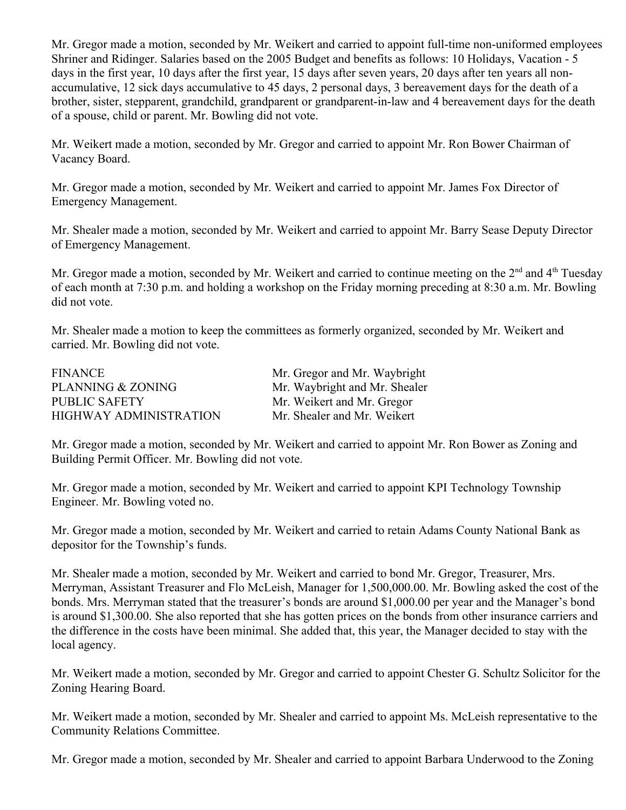Mr. Gregor made a motion, seconded by Mr. Weikert and carried to appoint full-time non-uniformed employees Shriner and Ridinger. Salaries based on the 2005 Budget and benefits as follows: 10 Holidays, Vacation - 5 days in the first year, 10 days after the first year, 15 days after seven years, 20 days after ten years all nonaccumulative, 12 sick days accumulative to 45 days, 2 personal days, 3 bereavement days for the death of a brother, sister, stepparent, grandchild, grandparent or grandparent-in-law and 4 bereavement days for the death of a spouse, child or parent. Mr. Bowling did not vote.

Mr. Weikert made a motion, seconded by Mr. Gregor and carried to appoint Mr. Ron Bower Chairman of Vacancy Board.

Mr. Gregor made a motion, seconded by Mr. Weikert and carried to appoint Mr. James Fox Director of Emergency Management.

Mr. Shealer made a motion, seconded by Mr. Weikert and carried to appoint Mr. Barry Sease Deputy Director of Emergency Management.

Mr. Gregor made a motion, seconded by Mr. Weikert and carried to continue meeting on the  $2<sup>nd</sup>$  and  $4<sup>th</sup>$  Tuesday of each month at 7:30 p.m. and holding a workshop on the Friday morning preceding at 8:30 a.m. Mr. Bowling did not vote.

Mr. Shealer made a motion to keep the committees as formerly organized, seconded by Mr. Weikert and carried. Mr. Bowling did not vote.

| Mr. Gregor and Mr. Waybright  |
|-------------------------------|
| Mr. Waybright and Mr. Shealer |
| Mr. Weikert and Mr. Gregor    |
| Mr. Shealer and Mr. Weikert   |
|                               |

Mr. Gregor made a motion, seconded by Mr. Weikert and carried to appoint Mr. Ron Bower as Zoning and Building Permit Officer. Mr. Bowling did not vote.

Mr. Gregor made a motion, seconded by Mr. Weikert and carried to appoint KPI Technology Township Engineer. Mr. Bowling voted no.

Mr. Gregor made a motion, seconded by Mr. Weikert and carried to retain Adams County National Bank as depositor for the Township's funds.

Mr. Shealer made a motion, seconded by Mr. Weikert and carried to bond Mr. Gregor, Treasurer, Mrs. Merryman, Assistant Treasurer and Flo McLeish, Manager for 1,500,000.00. Mr. Bowling asked the cost of the bonds. Mrs. Merryman stated that the treasurer's bonds are around \$1,000.00 per year and the Manager's bond is around \$1,300.00. She also reported that she has gotten prices on the bonds from other insurance carriers and the difference in the costs have been minimal. She added that, this year, the Manager decided to stay with the local agency.

Mr. Weikert made a motion, seconded by Mr. Gregor and carried to appoint Chester G. Schultz Solicitor for the Zoning Hearing Board.

Mr. Weikert made a motion, seconded by Mr. Shealer and carried to appoint Ms. McLeish representative to the Community Relations Committee.

Mr. Gregor made a motion, seconded by Mr. Shealer and carried to appoint Barbara Underwood to the Zoning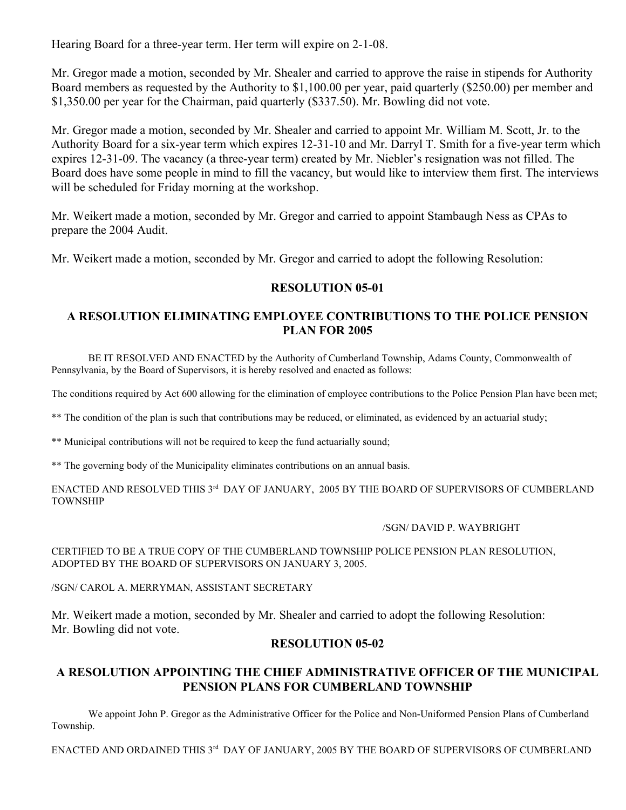Hearing Board for a three-year term. Her term will expire on 2-1-08.

Mr. Gregor made a motion, seconded by Mr. Shealer and carried to approve the raise in stipends for Authority Board members as requested by the Authority to \$1,100.00 per year, paid quarterly (\$250.00) per member and \$1,350.00 per year for the Chairman, paid quarterly (\$337.50). Mr. Bowling did not vote.

Mr. Gregor made a motion, seconded by Mr. Shealer and carried to appoint Mr. William M. Scott, Jr. to the Authority Board for a six-year term which expires 12-31-10 and Mr. Darryl T. Smith for a five-year term which expires 12-31-09. The vacancy (a three-year term) created by Mr. Niebler's resignation was not filled. The Board does have some people in mind to fill the vacancy, but would like to interview them first. The interviews will be scheduled for Friday morning at the workshop.

Mr. Weikert made a motion, seconded by Mr. Gregor and carried to appoint Stambaugh Ness as CPAs to prepare the 2004 Audit.

Mr. Weikert made a motion, seconded by Mr. Gregor and carried to adopt the following Resolution:

### **RESOLUTION 05-01**

## **A RESOLUTION ELIMINATING EMPLOYEE CONTRIBUTIONS TO THE POLICE PENSION PLAN FOR 2005**

BE IT RESOLVED AND ENACTED by the Authority of Cumberland Township, Adams County, Commonwealth of Pennsylvania, by the Board of Supervisors, it is hereby resolved and enacted as follows:

The conditions required by Act 600 allowing for the elimination of employee contributions to the Police Pension Plan have been met;

\*\* The condition of the plan is such that contributions may be reduced, or eliminated, as evidenced by an actuarial study;

\*\* Municipal contributions will not be required to keep the fund actuarially sound;

\*\* The governing body of the Municipality eliminates contributions on an annual basis.

ENACTED AND RESOLVED THIS 3<sup>rd</sup> DAY OF JANUARY, 2005 BY THE BOARD OF SUPERVISORS OF CUMBERLAND TOWNSHIP

#### /SGN/ DAVID P. WAYBRIGHT

CERTIFIED TO BE A TRUE COPY OF THE CUMBERLAND TOWNSHIP POLICE PENSION PLAN RESOLUTION, ADOPTED BY THE BOARD OF SUPERVISORS ON JANUARY 3, 2005.

#### /SGN/ CAROL A. MERRYMAN, ASSISTANT SECRETARY

Mr. Weikert made a motion, seconded by Mr. Shealer and carried to adopt the following Resolution: Mr. Bowling did not vote.

### **RESOLUTION 05-02**

# **A RESOLUTION APPOINTING THE CHIEF ADMINISTRATIVE OFFICER OF THE MUNICIPAL PENSION PLANS FOR CUMBERLAND TOWNSHIP**

We appoint John P. Gregor as the Administrative Officer for the Police and Non-Uniformed Pension Plans of Cumberland Township.

ENACTED AND ORDAINED THIS 3<sup>rd</sup> DAY OF JANUARY, 2005 BY THE BOARD OF SUPERVISORS OF CUMBERLAND